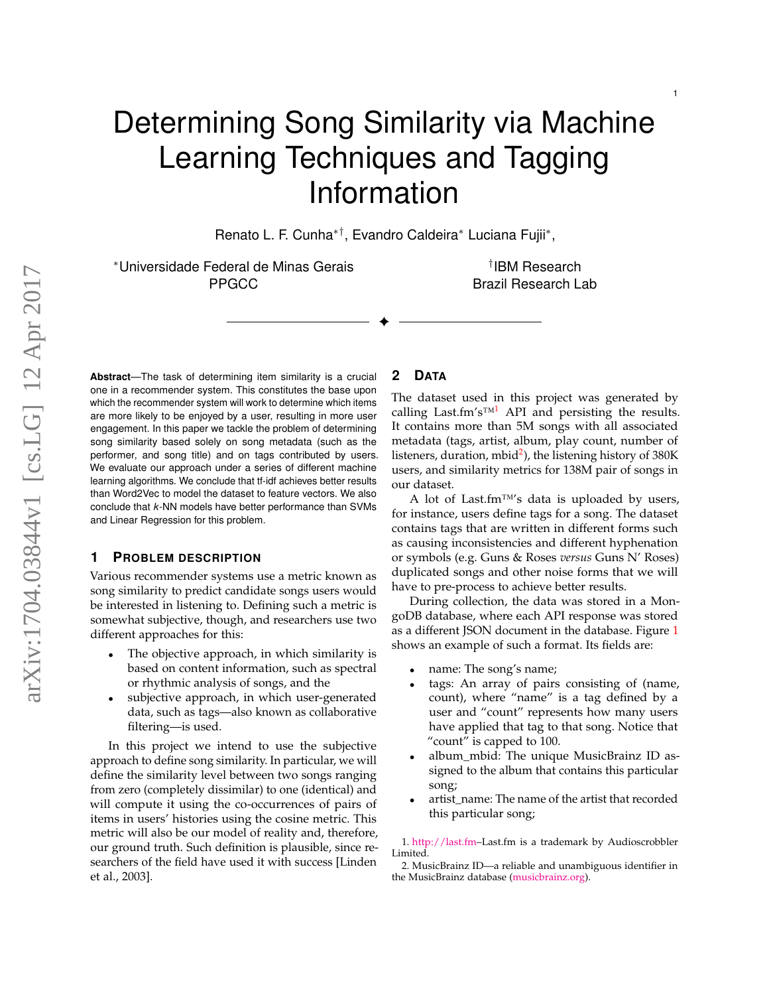# Determining Song Similarity via Machine Learning Techniques and Tagging Information

Renato L. F. Cunha∗†, Evandro Caldeira<sup>∗</sup> Luciana Fujii<sup>∗</sup> ,

✦

<sup>∗</sup>Universidade Federal de Minas Gerais PPGCC

† IBM Research Brazil Research Lab

**Abstract**—The task of determining item similarity is a crucial one in a recommender system. This constitutes the base upon which the recommender system will work to determine which items are more likely to be enjoyed by a user, resulting in more user engagement. In this paper we tackle the problem of determining song similarity based solely on song metadata (such as the performer, and song title) and on tags contributed by users. We evaluate our approach under a series of different machine learning algorithms. We conclude that tf-idf achieves better results than Word2Vec to model the dataset to feature vectors. We also conclude that *k*-NN models have better performance than SVMs and Linear Regression for this problem.

## **1 PROBLEM DESCRIPTION**

Various recommender systems use a metric known as song similarity to predict candidate songs users would be interested in listening to. Defining such a metric is somewhat subjective, though, and researchers use two different approaches for this:

- The objective approach, in which similarity is based on content information, such as spectral or rhythmic analysis of songs, and the
- subjective approach, in which user-generated data, such as tags—also known as collaborative filtering—is used.

In this project we intend to use the subjective approach to define song similarity. In particular, we will define the similarity level between two songs ranging from zero (completely dissimilar) to one (identical) and will compute it using the co-occurrences of pairs of items in users' histories using the cosine metric. This metric will also be our model of reality and, therefore, our ground truth. Such definition is plausible, since researchers of the field have used it with success [\[Linden](#page-5-0) [et al.,](#page-5-0) [2003\]](#page-5-0).

## **2 DATA**

The dataset used in this project was generated by calling Last.fm's<sup>™[1](#page-0-0)</sup> API and persisting the results. It contains more than 5M songs with all associated metadata (tags, artist, album, play count, number of listeners, duration, mbid<sup>[2](#page-0-1)</sup>), the listening history of 380K users, and similarity metrics for 138M pair of songs in our dataset.

A lot of Last.fm™'s data is uploaded by users, for instance, users define tags for a song. The dataset contains tags that are written in different forms such as causing inconsistencies and different hyphenation or symbols (e.g. Guns & Roses *versus* Guns N' Roses) duplicated songs and other noise forms that we will have to pre-process to achieve better results.

During collection, the data was stored in a MongoDB database, where each API response was stored as a different JSON document in the database. Figure [1](#page-1-0) shows an example of such a format. Its fields are:

- name: The song's name;
- tags: An array of pairs consisting of (name, count), where "name" is a tag defined by a user and "count" represents how many users have applied that tag to that song. Notice that "count" is capped to 100.
- album\_mbid: The unique MusicBrainz ID assigned to the album that contains this particular song;
- artist\_name: The name of the artist that recorded this particular song;

<span id="page-0-0"></span>1. [http://last.fm–](http://last.fm)Last.fm is a trademark by Audioscrobbler Limited.

<span id="page-0-1"></span>2. MusicBrainz ID—a reliable and unambiguous identifier in the MusicBrainz database [\(musicbrainz.org\)](musicbrainz.org).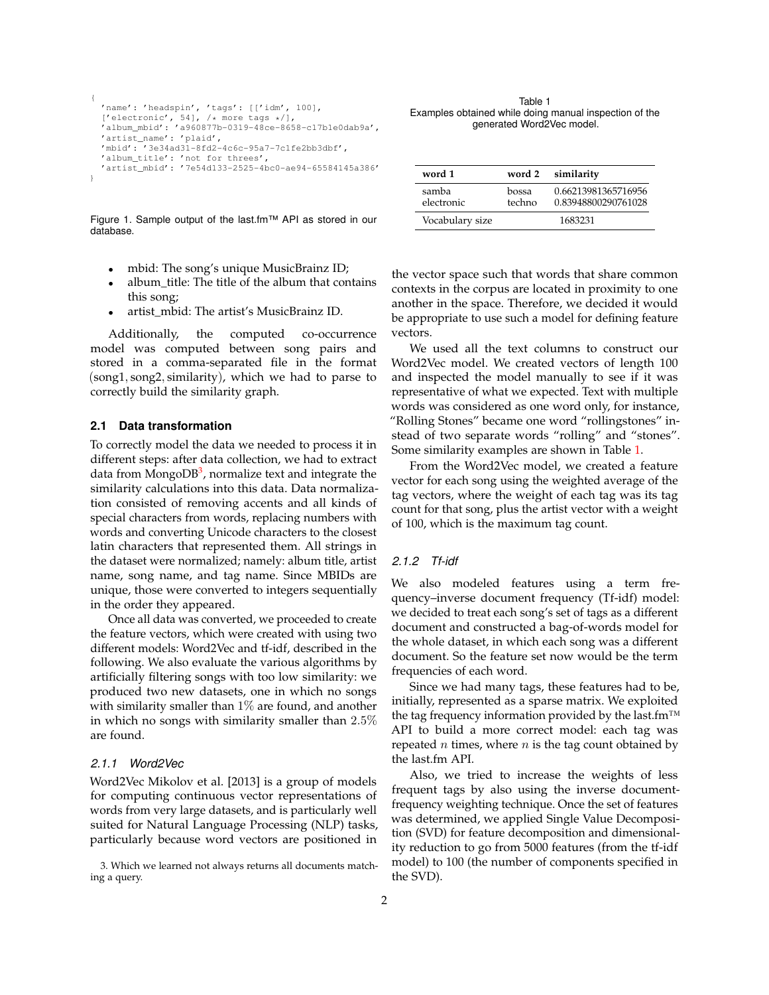```
{
 'name': 'headspin', 'tags': [['idm', 100],
  ['electronic', 54], /* more tags */],
'album_mbid': 'a960877b-0319-48ce-8658-c17b1e0dab9a',
  'artist_name': 'plaid',
  'mbid': '3e34ad31-8fd2-4c6c-95a7-7c1fe2bb3dbf',
  'album_title': 'not for threes',
  'artist_mbid': '7e54d133-2525-4bc0-ae94-65584145a386'
}
```
<span id="page-1-2"></span>Table 1 Examples obtained while doing manual inspection of the generated Word2Vec model.

| word 1              |                 | word 2 similarity                          |
|---------------------|-----------------|--------------------------------------------|
| samba<br>electronic | bossa<br>techno | 0.66213981365716956<br>0.83948800290761028 |
| Vocabulary size     |                 | 1683231                                    |

<span id="page-1-0"></span>Figure 1. Sample output of the last.fm™ API as stored in our database.

- mbid: The song's unique MusicBrainz ID;
- album\_title: The title of the album that contains this song;
- artist\_mbid: The artist's MusicBrainz ID.

Additionally, the computed co-occurrence model was computed between song pairs and stored in a comma-separated file in the format (song1, song2, similarity), which we had to parse to correctly build the similarity graph.

#### <span id="page-1-3"></span>**2.1 Data transformation**

To correctly model the data we needed to process it in different steps: after data collection, we had to extract data from MongoDB<sup>[3](#page-1-1)</sup>, normalize text and integrate the similarity calculations into this data. Data normalization consisted of removing accents and all kinds of special characters from words, replacing numbers with words and converting Unicode characters to the closest latin characters that represented them. All strings in the dataset were normalized; namely: album title, artist name, song name, and tag name. Since MBIDs are unique, those were converted to integers sequentially in the order they appeared.

Once all data was converted, we proceeded to create the feature vectors, which were created with using two different models: Word2Vec and tf-idf, described in the following. We also evaluate the various algorithms by artificially filtering songs with too low similarity: we produced two new datasets, one in which no songs with similarity smaller than  $1\%$  are found, and another in which no songs with similarity smaller than 2.5% are found.

#### *2.1.1 Word2Vec*

Word2Vec [Mikolov et al.](#page-5-1) [\[2013\]](#page-5-1) is a group of models for computing continuous vector representations of words from very large datasets, and is particularly well suited for Natural Language Processing (NLP) tasks, particularly because word vectors are positioned in

<span id="page-1-1"></span>3. Which we learned not always returns all documents matching a query.

the vector space such that words that share common contexts in the corpus are located in proximity to one another in the space. Therefore, we decided it would be appropriate to use such a model for defining feature vectors.

We used all the text columns to construct our Word2Vec model. We created vectors of length 100 and inspected the model manually to see if it was representative of what we expected. Text with multiple words was considered as one word only, for instance, "Rolling Stones" became one word "rollingstones" instead of two separate words "rolling" and "stones". Some similarity examples are shown in Table [1.](#page-1-2)

From the Word2Vec model, we created a feature vector for each song using the weighted average of the tag vectors, where the weight of each tag was its tag count for that song, plus the artist vector with a weight of 100, which is the maximum tag count.

#### *2.1.2 Tf-idf*

We also modeled features using a term frequency–inverse document frequency (Tf-idf) model: we decided to treat each song's set of tags as a different document and constructed a bag-of-words model for the whole dataset, in which each song was a different document. So the feature set now would be the term frequencies of each word.

Since we had many tags, these features had to be, initially, represented as a sparse matrix. We exploited the tag frequency information provided by the last.fm<sup>™</sup> API to build a more correct model: each tag was repeated  $n$  times, where  $n$  is the tag count obtained by the last.fm API.

Also, we tried to increase the weights of less frequent tags by also using the inverse documentfrequency weighting technique. Once the set of features was determined, we applied Single Value Decomposition (SVD) for feature decomposition and dimensionality reduction to go from 5000 features (from the tf-idf model) to 100 (the number of components specified in the SVD).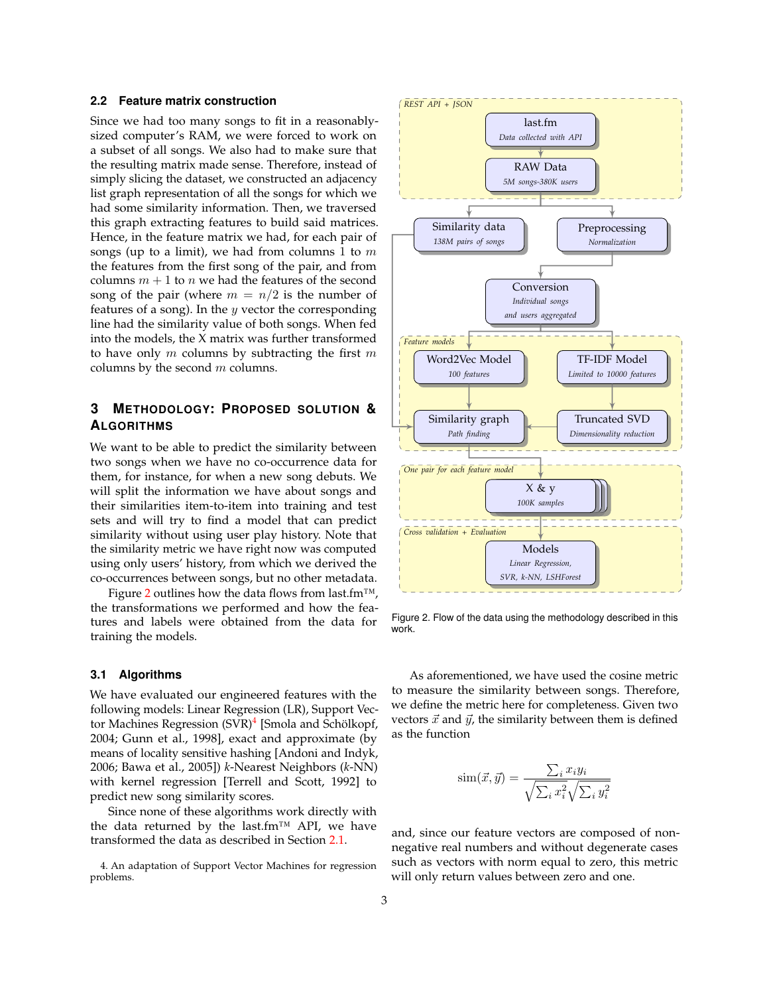#### **2.2 Feature matrix construction**

Since we had too many songs to fit in a reasonablysized computer's RAM, we were forced to work on a subset of all songs. We also had to make sure that the resulting matrix made sense. Therefore, instead of simply slicing the dataset, we constructed an adjacency list graph representation of all the songs for which we had some similarity information. Then, we traversed this graph extracting features to build said matrices. Hence, in the feature matrix we had, for each pair of songs (up to a limit), we had from columns 1 to  $m$ the features from the first song of the pair, and from columns  $m + 1$  to n we had the features of the second song of the pair (where  $m = n/2$  is the number of features of a song). In the  $y$  vector the corresponding line had the similarity value of both songs. When fed into the models, the X matrix was further transformed to have only  $m$  columns by subtracting the first  $m$ columns by the second  $m$  columns.

# **3 METHODOLOGY: PROPOSED SOLUTION & ALGORITHMS**

We want to be able to predict the similarity between two songs when we have no co-occurrence data for them, for instance, for when a new song debuts. We will split the information we have about songs and their similarities item-to-item into training and test sets and will try to find a model that can predict similarity without using user play history. Note that the similarity metric we have right now was computed using only users' history, from which we derived the co-occurrences between songs, but no other metadata.

Figure [2](#page-2-0) outlines how the data flows from last.fm<sup>™</sup>, the transformations we performed and how the features and labels were obtained from the data for training the models.

### **3.1 Algorithms**

We have evaluated our engineered features with the following models: Linear Regression (LR), Support Vec-tor Machines Regression (SVR)<sup>[4](#page-2-1)</sup> [\[Smola and Schölkopf,](#page-5-2) [2004;](#page-5-2) [Gunn et al.,](#page-5-3) [1998\]](#page-5-3), exact and approximate (by means of locality sensitive hashing [\[Andoni and Indyk,](#page-5-4) [2006;](#page-5-4) [Bawa et al.,](#page-5-5) [2005\]](#page-5-5)) *k*-Nearest Neighbors (*k*-NN) with kernel regression [\[Terrell and Scott,](#page-5-6) [1992\]](#page-5-6) to predict new song similarity scores.

Since none of these algorithms work directly with the data returned by the last.fm™ API, we have transformed the data as described in Section [2.1.](#page-1-3)

<span id="page-2-1"></span>4. An adaptation of Support Vector Machines for regression problems.



<span id="page-2-0"></span>Figure 2. Flow of the data using the methodology described in this work.

As aforementioned, we have used the cosine metric to measure the similarity between songs. Therefore, we define the metric here for completeness. Given two vectors  $\vec{x}$  and  $\vec{y}$ , the similarity between them is defined as the function

$$
\text{sim}(\vec{x}, \vec{y}) = \frac{\sum_{i} x_i y_i}{\sqrt{\sum_{i} x_i^2} \sqrt{\sum_{i} y_i^2}}
$$

and, since our feature vectors are composed of nonnegative real numbers and without degenerate cases such as vectors with norm equal to zero, this metric will only return values between zero and one.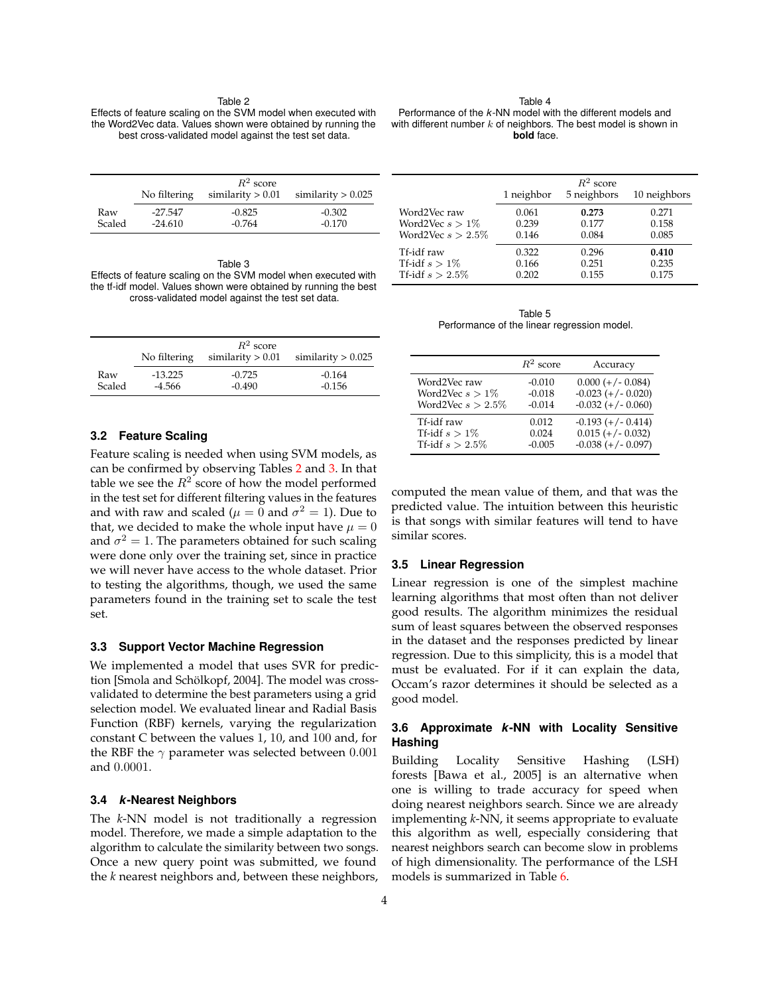#### Table 2

<span id="page-3-0"></span>Effects of feature scaling on the SVM model when executed with the Word2Vec data. Values shown were obtained by running the best cross-validated model against the test set data.

Table 4 Performance of the *k*-NN model with the different models and with different number  $k$  of neighbors. The best model is shown in **bold** face.

|        | No filtering | $R^2$ score<br>similarity $> 0.01$ | similarity $> 0.025$ |
|--------|--------------|------------------------------------|----------------------|
| Raw    | $-27.547$    | $-0.825$                           | $-0.302$             |
| Scaled | $-24.610$    | $-0.764$                           | $-0.170$             |

<span id="page-3-1"></span>Table 3 Effects of feature scaling on the SVM model when executed with the tf-idf model. Values shown were obtained by running the best cross-validated model against the test set data.

|        |              | $R^2$ score         |                      |
|--------|--------------|---------------------|----------------------|
|        | No filtering | similarity $> 0.01$ | similarity $> 0.025$ |
| Raw    | $-13.225$    | $-0.725$            | $-0.164$             |
| Scaled | $-4.566$     | $-0.490$            | $-0.156$             |

#### **3.2 Feature Scaling**

Feature scaling is needed when using SVM models, as can be confirmed by observing Tables [2](#page-3-0) and [3.](#page-3-1) In that table we see the  $R^2$  score of how the model performed in the test set for different filtering values in the features and with raw and scaled ( $\mu = 0$  and  $\sigma^2 = 1$ ). Due to that, we decided to make the whole input have  $\mu = 0$ and  $\sigma^2 = 1$ . The parameters obtained for such scaling were done only over the training set, since in practice we will never have access to the whole dataset. Prior to testing the algorithms, though, we used the same parameters found in the training set to scale the test set.

### **3.3 Support Vector Machine Regression**

We implemented a model that uses SVR for prediction [\[Smola and Schölkopf,](#page-5-2) [2004\]](#page-5-2). The model was crossvalidated to determine the best parameters using a grid selection model. We evaluated linear and Radial Basis Function (RBF) kernels, varying the regularization constant C between the values 1, 10, and 100 and, for the RBF the  $\gamma$  parameter was selected between 0.001 and 0.0001.

#### **3.4** *k***-Nearest Neighbors**

The *k*-NN model is not traditionally a regression model. Therefore, we made a simple adaptation to the algorithm to calculate the similarity between two songs. Once a new query point was submitted, we found the *k* nearest neighbors and, between these neighbors,

|                      | 1 neighbor | $R^2$ score<br>5 neighbors | 10 neighbors |
|----------------------|------------|----------------------------|--------------|
| Word2Vec raw         | 0.061      | 0.273                      | 0.271        |
| Word2Vec $s > 1\%$   | 0.239      | 0.177                      | 0.158        |
| Word2Vec $s > 2.5\%$ | 0.146      | 0.084                      | 0.085        |
| Tf-idf raw           | 0.322      | 0.296                      | 0.410        |
| Tf-idf $s > 1\%$     | 0.166      | 0.251                      | 0.235        |
| Tf-idf $s > 2.5\%$   | 0.202      | 0.155                      | 0.175        |

Table 5 Performance of the linear regression model.

|                      | $R^2$ score | Accuracy             |
|----------------------|-------------|----------------------|
| Word2Vec raw         | $-0.010$    | $0.000 (+/- 0.084)$  |
| Word2Vec $s > 1\%$   | $-0.018$    | $-0.023 (+/- 0.020)$ |
| Word2Vec $s > 2.5\%$ | $-0.014$    | $-0.032 (+/- 0.060)$ |
| Tf-idf raw           | 0.012       | $-0.193 (+/- 0.414)$ |
| Tf-idf $s > 1\%$     | 0.024       | $0.015 (+/- 0.032)$  |
| Tf-idf $s > 2.5\%$   | $-0.005$    | $-0.038 (+/- 0.097)$ |

computed the mean value of them, and that was the predicted value. The intuition between this heuristic is that songs with similar features will tend to have similar scores.

#### **3.5 Linear Regression**

Linear regression is one of the simplest machine learning algorithms that most often than not deliver good results. The algorithm minimizes the residual sum of least squares between the observed responses in the dataset and the responses predicted by linear regression. Due to this simplicity, this is a model that must be evaluated. For if it can explain the data, Occam's razor determines it should be selected as a good model.

#### **3.6 Approximate** *k***-NN with Locality Sensitive Hashing**

Building Locality Sensitive Hashing (LSH) forests [\[Bawa et al.,](#page-5-5) [2005\]](#page-5-5) is an alternative when one is willing to trade accuracy for speed when doing nearest neighbors search. Since we are already implementing *k*-NN, it seems appropriate to evaluate this algorithm as well, especially considering that nearest neighbors search can become slow in problems of high dimensionality. The performance of the LSH models is summarized in Table [6.](#page-4-0)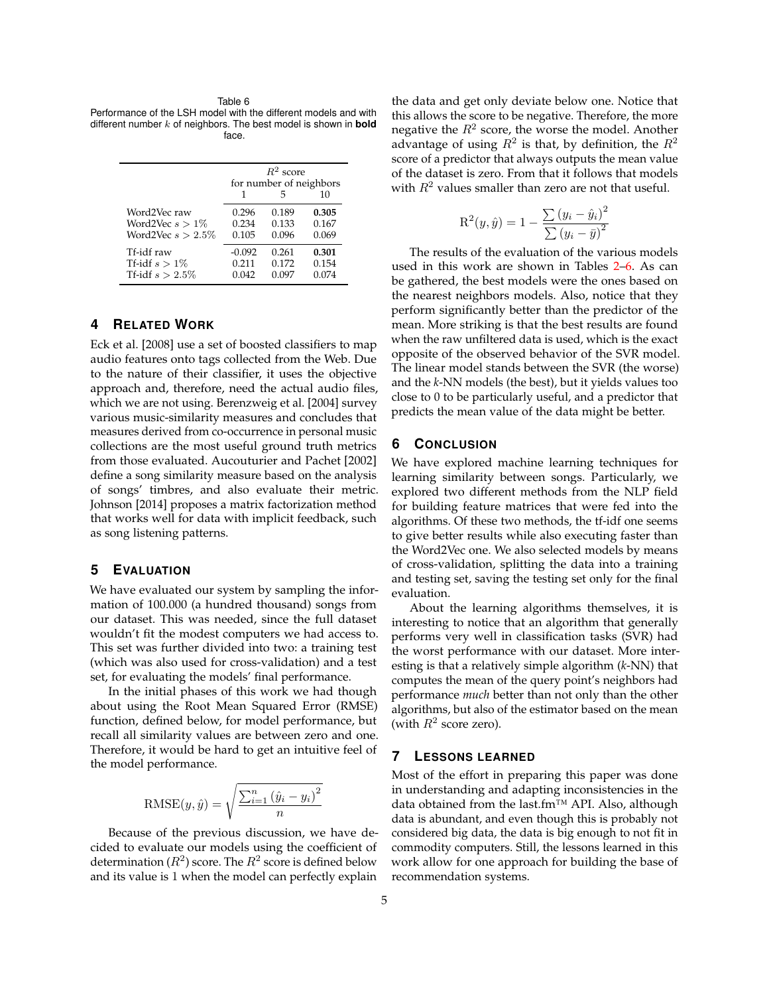#### Table 6

<span id="page-4-0"></span>Performance of the LSH model with the different models and with different number k of neighbors. The best model is shown in **bold** face.

|                      | $R^2$ score             |       |       |
|----------------------|-------------------------|-------|-------|
|                      | for number of neighbors |       |       |
|                      |                         | 5     | 10    |
| Word2Vec raw         | 0.296                   | 0.189 | 0.305 |
| Word2Vec $s > 1\%$   | 0.234                   | 0.133 | 0.167 |
| Word2Vec $s > 2.5\%$ | 0.105                   | 0.096 | 0.069 |
| Tf-idf raw           | $-0.092$                | 0.261 | 0.301 |
| Tf-idf $s > 1\%$     | 0.211                   | 0.172 | 0.154 |
| Tf-idf $s > 2.5\%$   | 0.042                   | 0.097 | 0.074 |

## **4 RELATED WORK**

[Eck et al.](#page-5-7) [\[2008\]](#page-5-7) use a set of boosted classifiers to map audio features onto tags collected from the Web. Due to the nature of their classifier, it uses the objective approach and, therefore, need the actual audio files, which we are not using. [Berenzweig et al.](#page-5-8) [\[2004\]](#page-5-8) survey various music-similarity measures and concludes that measures derived from co-occurrence in personal music collections are the most useful ground truth metrics from those evaluated. [Aucouturier and Pachet](#page-5-9) [\[2002\]](#page-5-9) define a song similarity measure based on the analysis of songs' timbres, and also evaluate their metric. [Johnson](#page-5-10) [\[2014\]](#page-5-10) proposes a matrix factorization method that works well for data with implicit feedback, such as song listening patterns.

## **5 EVALUATION**

We have evaluated our system by sampling the information of 100.000 (a hundred thousand) songs from our dataset. This was needed, since the full dataset wouldn't fit the modest computers we had access to. This set was further divided into two: a training test (which was also used for cross-validation) and a test set, for evaluating the models' final performance.

In the initial phases of this work we had though about using the Root Mean Squared Error (RMSE) function, defined below, for model performance, but recall all similarity values are between zero and one. Therefore, it would be hard to get an intuitive feel of the model performance.

RMSE
$$
(y, \hat{y}) = \sqrt{\frac{\sum_{i=1}^{n} (\hat{y}_i - y_i)^2}{n}}
$$

Because of the previous discussion, we have decided to evaluate our models using the coefficient of determination  $(R^2)$  score. The  $R^2$  score is defined below and its value is 1 when the model can perfectly explain

the data and get only deviate below one. Notice that this allows the score to be negative. Therefore, the more negative the  $R^2$  score, the worse the model. Another advantage of using  $R^2$  is that, by definition, the  $R^2$ score of a predictor that always outputs the mean value of the dataset is zero. From that it follows that models with  $R^2$  values smaller than zero are not that useful.

$$
R^{2}(y, \hat{y}) = 1 - \frac{\sum (y_{i} - \hat{y}_{i})^{2}}{\sum (y_{i} - \bar{y})^{2}}
$$

The results of the evaluation of the various models used in this work are shown in Tables [2](#page-3-0)[–6.](#page-4-0) As can be gathered, the best models were the ones based on the nearest neighbors models. Also, notice that they perform significantly better than the predictor of the mean. More striking is that the best results are found when the raw unfiltered data is used, which is the exact opposite of the observed behavior of the SVR model. The linear model stands between the SVR (the worse) and the *k*-NN models (the best), but it yields values too close to 0 to be particularly useful, and a predictor that predicts the mean value of the data might be better.

## **6 CONCLUSION**

We have explored machine learning techniques for learning similarity between songs. Particularly, we explored two different methods from the NLP field for building feature matrices that were fed into the algorithms. Of these two methods, the tf-idf one seems to give better results while also executing faster than the Word2Vec one. We also selected models by means of cross-validation, splitting the data into a training and testing set, saving the testing set only for the final evaluation.

About the learning algorithms themselves, it is interesting to notice that an algorithm that generally performs very well in classification tasks (SVR) had the worst performance with our dataset. More interesting is that a relatively simple algorithm (*k*-NN) that computes the mean of the query point's neighbors had performance *much* better than not only than the other algorithms, but also of the estimator based on the mean (with  $R^2$  score zero).

## **7 LESSONS LEARNED**

Most of the effort in preparing this paper was done in understanding and adapting inconsistencies in the data obtained from the last.fm™ API. Also, although data is abundant, and even though this is probably not considered big data, the data is big enough to not fit in commodity computers. Still, the lessons learned in this work allow for one approach for building the base of recommendation systems.